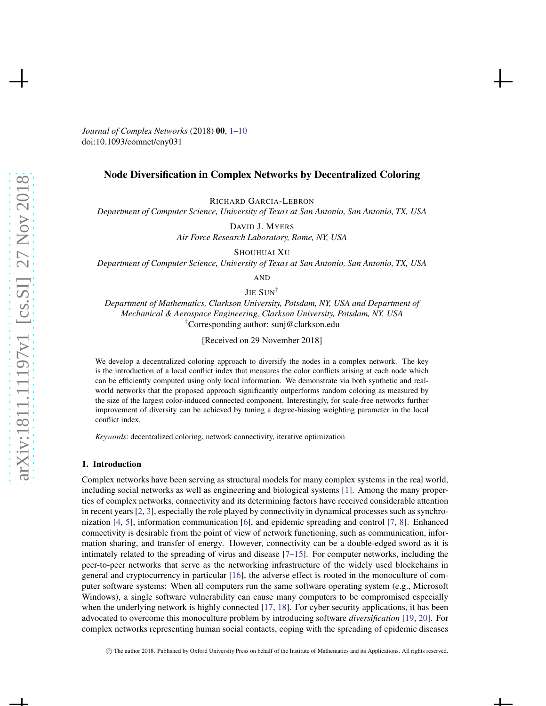<span id="page-0-0"></span>*Journal of Complex Networks* (2018) 00, [1](#page-0-0)[–10](#page-9-0) doi:10.1093/comnet/cny031

# Node Diversification in Complex Networks by Decentralized Coloring

RICHARD GARCIA-LEBRON

*Department of Computer Science, University of Texas at San Antonio, San Antonio, TX, USA*

DAVID J. MYERS

*Air Force Research Laboratory, Rome, NY, USA*

SHOUHUAI XU

*Department of Computer Science, University of Texas at San Antonio, San Antonio, TX, USA*

AND

JIE SUN<sup>†</sup>

*Department of Mathematics, Clarkson University, Potsdam, NY, USA and Department of Mechanical & Aerospace Engineering, Clarkson University, Potsdam, NY, USA* †Corresponding author: sunj@clarkson.edu

[Received on 29 November 2018]

We develop a decentralized coloring approach to diversify the nodes in a complex network. The key is the introduction of a local conflict index that measures the color conflicts arising at each node which can be efficiently computed using only local information. We demonstrate via both synthetic and realworld networks that the proposed approach significantly outperforms random coloring as measured by the size of the largest color-induced connected component. Interestingly, for scale-free networks further improvement of diversity can be achieved by tuning a degree-biasing weighting parameter in the local conflict index.

*Keywords*: decentralized coloring, network connectivity, iterative optimization

# 1. Introduction

Complex networks have been serving as structural models for many complex systems in the real world, including social networks as well as engineering and biological systems [\[1\]](#page-8-0). Among the many properties of complex networks, connectivity and its determining factors have received considerable attention in recent years [\[2,](#page-8-1) [3](#page-8-2)], especially the role played by connectivity in dynamical processes such as synchronization [\[4](#page-8-3), [5\]](#page-8-4), information communication [\[6](#page-8-5)], and epidemic spreading and control [\[7,](#page-8-6) [8](#page-8-7)]. Enhanced connectivity is desirable from the point of view of network functioning, such as communication, information sharing, and transfer of energy. However, connectivity can be a double-edged sword as it is intimately related to the spreading of virus and disease [\[7](#page-8-6)[–15\]](#page-8-8). For computer networks, including the peer-to-peer networks that serve as the networking infrastructure of the widely used blockchains in general and cryptocurrency in particular [\[16](#page-8-9)], the adverse effect is rooted in the monoculture of computer software systems: When all computers run the same software operating system (e.g., Microsoft Windows), a single software vulnerability can cause many computers to be compromised especially when the underlying network is highly connected [\[17](#page-8-10), [18](#page-9-1)]. For cyber security applications, it has been advocated to overcome this monoculture problem by introducing software *diversification* [\[19,](#page-9-2) 20]. For complex networks representing human social contacts, coping with the spreading of epidemic diseases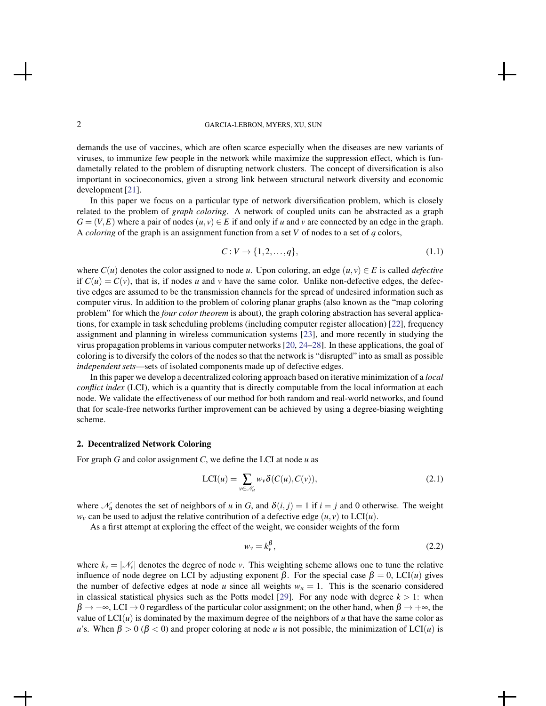demands the use of vaccines, which are often scarce especially when the diseases are new variants of viruses, to immunize few people in the network while maximize the suppression effect, which is fundametally related to the problem of disrupting network clusters. The concept of diversification is also important in socioeconomics, given a strong link between structural network diversity and economic development [\[21](#page-9-3)].

In this paper we focus on a particular type of network diversification problem, which is closely related to the problem of *graph coloring*. A network of coupled units can be abstracted as a graph  $G = (V, E)$  where a pair of nodes  $(u, v) \in E$  if and only if *u* and *v* are connected by an edge in the graph. A *coloring* of the graph is an assignment function from a set *V* of nodes to a set of *q* colors,

$$
C: V \to \{1, 2, \dots, q\},\tag{1.1}
$$

where  $C(u)$  denotes the color assigned to node *u*. Upon coloring, an edge  $(u, v) \in E$  is called *defective* if  $C(u) = C(v)$ , that is, if nodes *u* and *v* have the same color. Unlike non-defective edges, the defective edges are assumed to be the transmission channels for the spread of undesired information such as computer virus. In addition to the problem of coloring planar graphs (also known as the "map coloring problem" for which the *four color theorem* is about), the graph coloring abstraction has several applications, for example in task scheduling problems (including computer register allocation) [\[22](#page-9-4)], frequency assignment and planning in wireless communication systems [\[23\]](#page-9-5), and more recently in studying the virus propagation problems in various computer networks [20, [24](#page-9-6)–28]. In these applications, the goal of coloring is to diversify the colors of the nodes so that the network is "disrupted" into as small as possible *independent sets*—sets of isolated components made up of defective edges.

In this paper we develop a decentralized coloring approach based on iterative minimization of a *local conflict index* (LCI), which is a quantity that is directly computable from the local information at each node. We validate the effectiveness of our method for both random and real-world networks, and found that for scale-free networks further improvement can be achieved by using a degree-biasing weighting scheme.

### 2. Decentralized Network Coloring

For graph *G* and color assignment *C*, we define the LCI at node *u* as

<span id="page-1-0"></span>
$$
LCI(u) = \sum_{v \in \mathcal{N}_u} w_v \delta(C(u), C(v)),
$$
\n(2.1)

where  $\mathcal{N}_u$  denotes the set of neighbors of *u* in *G*, and  $\delta(i, j) = 1$  if  $i = j$  and 0 otherwise. The weight  $w<sub>v</sub>$  can be used to adjust the relative contribution of a defective edge  $(u, v)$  to LCI $(u)$ .

As a first attempt at exploring the effect of the weight, we consider weights of the form

$$
w_v = k_v^{\beta},\tag{2.2}
$$

where  $k_v = |\mathcal{N}_v|$  denotes the degree of node *v*. This weighting scheme allows one to tune the relative influence of node degree on LCI by adjusting exponent  $β$ . For the special case  $β = 0$ , LCI(*u*) gives the number of defective edges at node *u* since all weights  $w_u = 1$ . This is the scenario considered in classical statistical physics such as the Potts model [\[29\]](#page-9-7). For any node with degree  $k > 1$ : when  $\beta \to -\infty$ , LCI  $\to 0$  regardless of the particular color assignment; on the other hand, when  $\beta \to +\infty$ , the value of  $LCI(u)$  is dominated by the maximum degree of the neighbors of *u* that have the same color as *u*'s. When  $\beta > 0$  ( $\beta < 0$ ) and proper coloring at node *u* is not possible, the minimization of LCI(*u*) is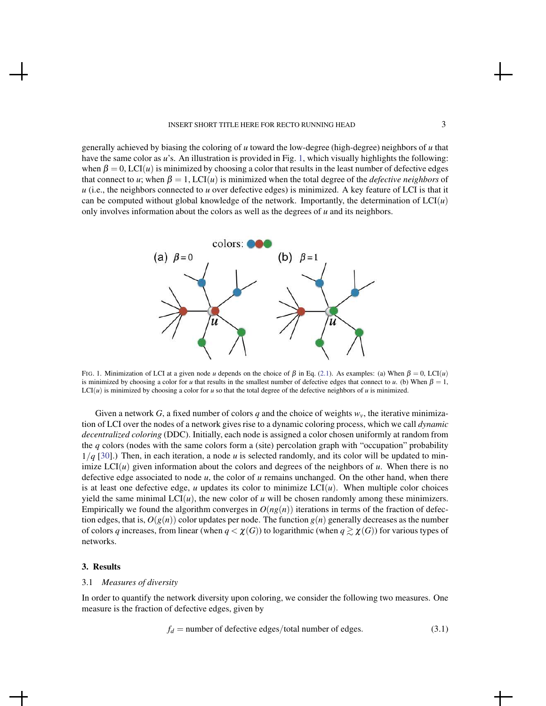generally achieved by biasing the coloring of *u* toward the low-degree (high-degree) neighbors of *u* that have the same color as *u*'s. An illustration is provided in Fig. [1,](#page-2-0) which visually highlights the following: when  $\beta = 0$ , LCI(*u*) is minimized by choosing a color that results in the least number of defective edges that connect to *u*; when  $\beta = 1$ , LCI(*u*) is minimized when the total degree of the *defective neighbors* of *u* (i.e., the neighbors connected to *u* over defective edges) is minimized. A key feature of LCI is that it can be computed without global knowledge of the network. Importantly, the determination of  $LCI(u)$ only involves information about the colors as well as the degrees of *u* and its neighbors.



<span id="page-2-0"></span>FIG. 1. Minimization of LCI at a given node *u* depends on the choice of  $\beta$  in Eq. [\(2.1\)](#page-1-0). As examples: (a) When  $\beta = 0$ , LCI(*u*) is minimized by choosing a color for *u* that results in the smallest number of defective edges that connect to *u*. (b) When  $\beta = 1$ ,  $LCI(u)$  is minimized by choosing a color for *u* so that the total degree of the defective neighbors of *u* is minimized.

Given a network G, a fixed number of colors q and the choice of weights  $w<sub>v</sub>$ , the iterative minimization of LCI over the nodes of a network gives rise to a dynamic coloring process, which we call *dynamic decentralized coloring* (DDC). Initially, each node is assigned a color chosen uniformly at random from the *q* colors (nodes with the same colors form a (site) percolation graph with "occupation" probability 1/*q* [\[30\]](#page-9-8).) Then, in each iteration, a node *u* is selected randomly, and its color will be updated to minimize  $LCI(u)$  given information about the colors and degrees of the neighbors of  $u$ . When there is no defective edge associated to node *u*, the color of *u* remains unchanged. On the other hand, when there is at least one defective edge,  $u$  updates its color to minimize  $LCI(u)$ . When multiple color choices yield the same minimal  $LCI(u)$ , the new color of *u* will be chosen randomly among these minimizers. Empirically we found the algorithm converges in  $O(ng(n))$  iterations in terms of the fraction of defection edges, that is,  $O(g(n))$  color updates per node. The function  $g(n)$  generally decreases as the number of colors *q* increases, from linear (when  $q < \chi(G)$ ) to logarithmic (when  $q \gtrsim \chi(G)$ ) for various types of networks.

### 3. Results

### 3.1 *Measures of diversity*

In order to quantify the network diversity upon coloring, we consider the following two measures. One measure is the fraction of defective edges, given by

<span id="page-2-1"></span>
$$
f_d =
$$
number of defective edges/total number of edges. (3.1)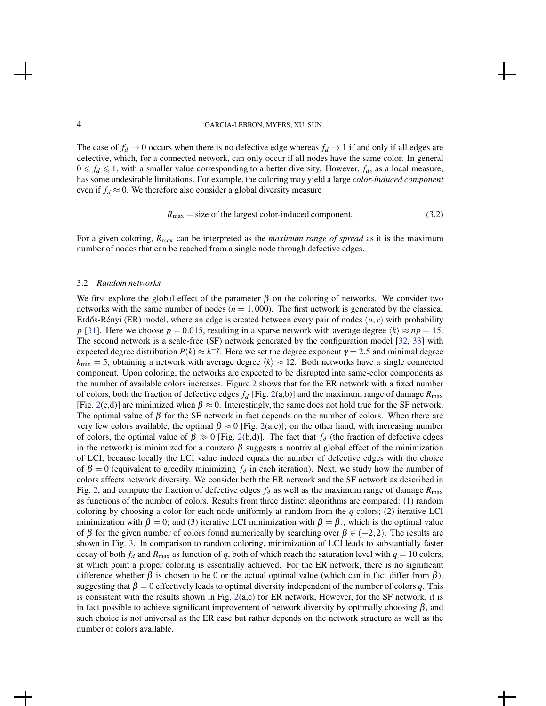The case of  $f_d \rightarrow 0$  occurs when there is no defective edge whereas  $f_d \rightarrow 1$  if and only if all edges are defective, which, for a connected network, can only occur if all nodes have the same color. In general  $0 \leq f_d \leq 1$ , with a smaller value corresponding to a better diversity. However,  $f_d$ , as a local measure, has some undesirable limitations. For example, the coloring may yield a large *color-induced component* even if  $f_d \approx 0$ . We therefore also consider a global diversity measure

<span id="page-3-0"></span>
$$
R_{\text{max}} = \text{size of the largest color-induced component.} \tag{3.2}
$$

For a given coloring, *R*max can be interpreted as the *maximum range of spread* as it is the maximum number of nodes that can be reached from a single node through defective edges.

#### 3.2 *Random networks*

We first explore the global effect of the parameter  $\beta$  on the coloring of networks. We consider two networks with the same number of nodes  $(n = 1,000)$ . The first network is generated by the classical Erdős-Rényi (ER) model, where an edge is created between every pair of nodes  $(u, v)$  with probability *p* [\[31](#page-9-9)]. Here we choose  $p = 0.015$ , resulting in a sparse network with average degree  $\langle k \rangle \approx np = 15$ . The second network is a scale-free (SF) network generated by the configuration model [\[32](#page-9-10), [33\]](#page-9-11) with expected degree distribution  $P(k) \approx k^{-\gamma}$ . Here we set the degree exponent  $\gamma = 2.5$  and minimal degree  $k_{\text{min}} = 5$ , obtaining a network with average degree  $\langle k \rangle \approx 12$ . Both networks have a single connected component. Upon coloring, the networks are expected to be disrupted into same-color components as the number of available colors increases. Figure [2](#page-4-0) shows that for the ER network with a fixed number of colors, both the fraction of defective edges  $f_d$  [Fig. [2\(](#page-4-0)a,b)] and the maximum range of damage  $R_{\text{max}}$ [Fig. [2\(](#page-4-0)c,d)] are minimized when  $\beta \approx 0$ . Interestingly, the same does not hold true for the SF network. The optimal value of  $\beta$  for the SF network in fact depends on the number of colors. When there are very few colors available, the optimal  $\beta \approx 0$  [Fig. [2\(](#page-4-0)a,c)]; on the other hand, with increasing number of colors, the optimal value of  $\beta \gg 0$  [Fig. [2\(](#page-4-0)b,d)]. The fact that  $f_d$  (the fraction of defective edges in the network) is minimized for a nonzero  $\beta$  suggests a nontrivial global effect of the minimization of LCI, because locally the LCI value indeed equals the number of defective edges with the choice of  $\beta = 0$  (equivalent to greedily minimizing  $f_d$  in each iteration). Next, we study how the number of colors affects network diversity. We consider both the ER network and the SF network as described in Fig. [2,](#page-4-0) and compute the fraction of defective edges  $f_d$  as well as the maximum range of damage  $R_{\text{max}}$ as functions of the number of colors. Results from three distinct algorithms are compared: (1) random coloring by choosing a color for each node uniformly at random from the *q* colors; (2) iterative LCI minimization with  $\beta = 0$ ; and (3) iterative LCI minimization with  $\beta = \beta_*$ , which is the optimal value of  $\beta$  for the given number of colors found numerically by searching over  $\beta \in (-2,2)$ . The results are shown in Fig. [3.](#page-5-0) In comparison to random coloring, minimization of LCI leads to substantially faster decay of both  $f_d$  and  $R_{\text{max}}$  as function of *q*, both of which reach the saturation level with  $q = 10$  colors, at which point a proper coloring is essentially achieved. For the ER network, there is no significant difference whether  $\beta$  is chosen to be 0 or the actual optimal value (which can in fact differ from  $\beta$ ), suggesting that  $\beta = 0$  effectively leads to optimal diversity independent of the number of colors q. This is consistent with the results shown in Fig.  $2(a,c)$  $2(a,c)$  for ER network, However, for the SF network, it is in fact possible to achieve significant improvement of network diversity by optimally choosing  $\beta$ , and such choice is not universal as the ER case but rather depends on the network structure as well as the number of colors available.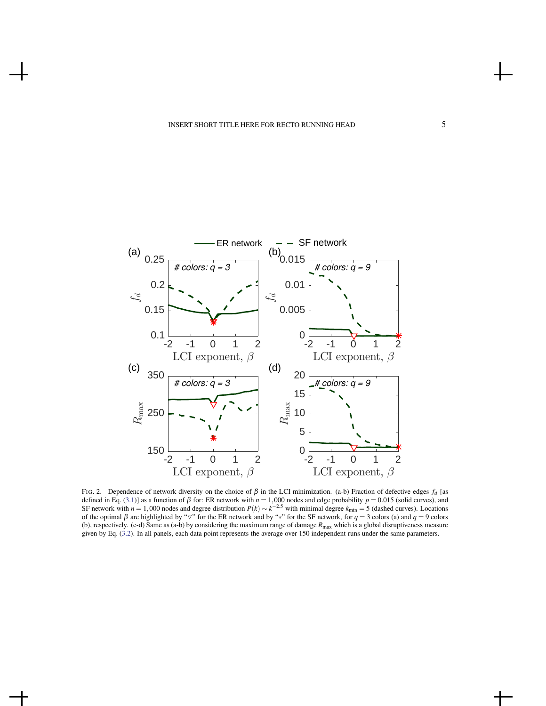

<span id="page-4-0"></span>FIG. 2. Dependence of network diversity on the choice of  $β$  in the LCI minimization. (a-b) Fraction of defective edges  $f_d$  [as defined in Eq. [\(3.1\)](#page-2-1)] as a function of  $\beta$  for: ER network with  $n = 1,000$  nodes and edge probability  $p = 0.015$  (solid curves), and SF network with  $n = 1,000$  nodes and degree distribution  $P(k) \sim k^{-2.5}$  with minimal degree  $k_{\text{min}} = 5$  (dashed curves). Locations of the optimal  $\beta$  are highlighted by " $\nabla$ " for the ER network and by "\*" for the SF network, for  $q = 3$  colors (a) and  $q = 9$  colors (b), respectively. (c-d) Same as (a-b) by considering the maximum range of damage *R*max which is a global disruptiveness measure given by Eq. [\(3.2\)](#page-3-0). In all panels, each data point represents the average over 150 independent runs under the same parameters.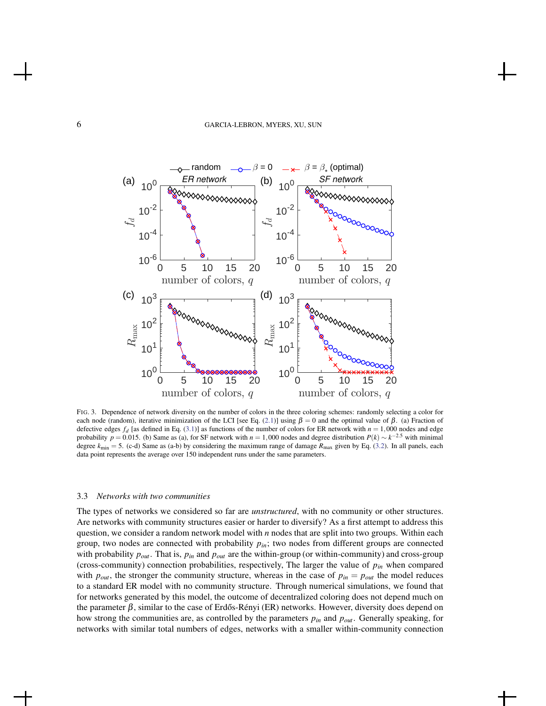

<span id="page-5-0"></span>FIG. 3. Dependence of network diversity on the number of colors in the three coloring schemes: randomly selecting a color for each node (random), iterative minimization of the LCI [see Eq. [\(2.1\)](#page-1-0)] using  $\beta = 0$  and the optimal value of  $\beta$ . (a) Fraction of defective edges  $f_d$  [as defined in Eq. [\(3.1\)](#page-2-1)] as functions of the number of colors for ER network with  $n = 1,000$  nodes and edge probability  $p = 0.015$ . (b) Same as (a), for SF network with  $n = 1,000$  nodes and degree distribution  $P(k) \sim k^{-2.5}$  with minimal degree  $k_{\text{min}} = 5$ . (c-d) Same as (a-b) by considering the maximum range of damage  $R_{\text{max}}$  given by Eq. [\(3.2\)](#page-3-0). In all panels, each data point represents the average over 150 independent runs under the same parameters.

#### 3.3 *Networks with two communities*

The types of networks we considered so far are *unstructured*, with no community or other structures. Are networks with community structures easier or harder to diversify? As a first attempt to address this question, we consider a random network model with *n* nodes that are split into two groups. Within each group, two nodes are connected with probability *pin*; two nodes from different groups are connected with probability  $p_{out}$ . That is,  $p_{in}$  and  $p_{out}$  are the within-group (or within-community) and cross-group (cross-community) connection probabilities, respectively, The larger the value of *pin* when compared with  $p_{out}$ , the stronger the community structure, whereas in the case of  $p_{in} = p_{out}$  the model reduces to a standard ER model with no community structure. Through numerical simulations, we found that for networks generated by this model, the outcome of decentralized coloring does not depend much on the parameter  $\beta$ , similar to the case of Erdős-Rényi (ER) networks. However, diversity does depend on how strong the communities are, as controlled by the parameters *pin* and *pout*. Generally speaking, for networks with similar total numbers of edges, networks with a smaller within-community connection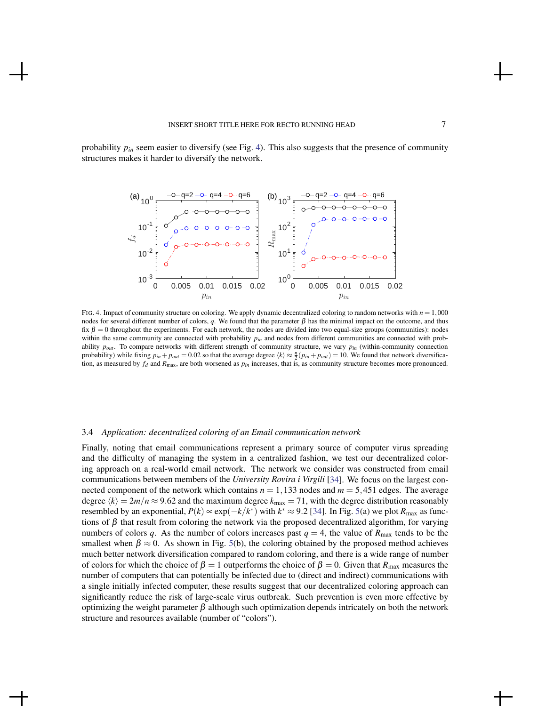probability *pin* seem easier to diversify (see Fig. [4\)](#page-6-0). This also suggests that the presence of community structures makes it harder to diversify the network.



<span id="page-6-0"></span>FIG. 4. Impact of community structure on coloring. We apply dynamic decentralized coloring to random networks with  $n = 1,000$ nodes for several different number of colors, *q*. We found that the parameter  $β$  has the minimal impact on the outcome, and thus fix  $\beta = 0$  throughout the experiments. For each network, the nodes are divided into two equal-size groups (communities): nodes within the same community are connected with probability  $p_{in}$  and nodes from different communities are connected with probability *pout* . To compare networks with different strength of community structure, we vary *pin* (within-community connection probability) while fixing  $p_{in} + p_{out} = 0.02$  so that the average degree  $\langle k \rangle \approx \frac{n}{2}(p_{in} + p_{out}) = 10$ . We found that network diversification, as measured by  $f_d$  and  $R_{\text{max}}$ , are both worsened as  $p_{in}$  increases, that is, as community structure becomes more pronounced.

#### 3.4 *Application: decentralized coloring of an Email communication network*

Finally, noting that email communications represent a primary source of computer virus spreading and the difficulty of managing the system in a centralized fashion, we test our decentralized coloring approach on a real-world email network. The network we consider was constructed from email communications between members of the *University Rovira i Virgili* [\[34](#page-9-12)]. We focus on the largest connected component of the network which contains  $n = 1,133$  nodes and  $m = 5,451$  edges. The average degree  $\langle k \rangle = 2m/n \approx 9.62$  and the maximum degree  $k_{\text{max}} = 71$ , with the degree distribution reasonably resembled by an exponential,  $P(k) \propto \exp(-k/k^*)$  with  $k^* \approx 9.2$  [\[34\]](#page-9-12). In Fig. [5\(](#page-7-0)a) we plot  $R_{\text{max}}$  as functions of  $\beta$  that result from coloring the network via the proposed decentralized algorithm, for varying numbers of colors *q*. As the number of colors increases past  $q = 4$ , the value of  $R_{\text{max}}$  tends to be the smallest when  $\beta \approx 0$ . As shown in Fig. [5\(](#page-7-0)b), the coloring obtained by the proposed method achieves much better network diversification compared to random coloring, and there is a wide range of number of colors for which the choice of  $\beta = 1$  outperforms the choice of  $\beta = 0$ . Given that  $R_{\text{max}}$  measures the number of computers that can potentially be infected due to (direct and indirect) communications with a single initially infected computer, these results suggest that our decentralized coloring approach can significantly reduce the risk of large-scale virus outbreak. Such prevention is even more effective by optimizing the weight parameter  $\beta$  although such optimization depends intricately on both the network structure and resources available (number of "colors").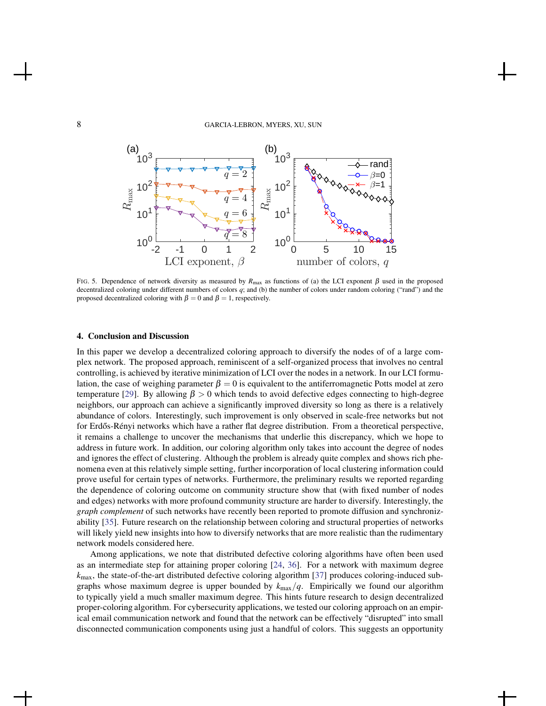

<span id="page-7-0"></span>FIG. 5. Dependence of network diversity as measured by  $R_{\text{max}}$  as functions of (a) the LCI exponent β used in the proposed decentralized coloring under different numbers of colors *q*; and (b) the number of colors under random coloring ("rand") and the proposed decentralized coloring with  $\beta = 0$  and  $\beta = 1$ , respectively.

#### 4. Conclusion and Discussion

In this paper we develop a decentralized coloring approach to diversify the nodes of of a large complex network. The proposed approach, reminiscent of a self-organized process that involves no central controlling, is achieved by iterative minimization of LCI over the nodes in a network. In our LCI formulation, the case of weighing parameter  $\beta = 0$  is equivalent to the antiferromagnetic Potts model at zero temperature [\[29](#page-9-7)]. By allowing  $\beta > 0$  which tends to avoid defective edges connecting to high-degree neighbors, our approach can achieve a significantly improved diversity so long as there is a relatively abundance of colors. Interestingly, such improvement is only observed in scale-free networks but not for Erdős-Rényi networks which have a rather flat degree distribution. From a theoretical perspective, it remains a challenge to uncover the mechanisms that underlie this discrepancy, which we hope to address in future work. In addition, our coloring algorithm only takes into account the degree of nodes and ignores the effect of clustering. Although the problem is already quite complex and shows rich phenomena even at this relatively simple setting, further incorporation of local clustering information could prove useful for certain types of networks. Furthermore, the preliminary results we reported regarding the dependence of coloring outcome on community structure show that (with fixed number of nodes and edges) networks with more profound community structure are harder to diversify. Interestingly, the *graph complement* of such networks have recently been reported to promote diffusion and synchronizability [\[35\]](#page-9-13). Future research on the relationship between coloring and structural properties of networks will likely yield new insights into how to diversify networks that are more realistic than the rudimentary network models considered here.

Among applications, we note that distributed defective coloring algorithms have often been used as an intermediate step for attaining proper coloring [\[24,](#page-9-6) [36\]](#page-9-14). For a network with maximum degree  $k_{\text{max}}$ , the state-of-the-art distributed defective coloring algorithm [\[37](#page-9-15)] produces coloring-induced subgraphs whose maximum degree is upper bounded by *k*max/*q*. Empirically we found our algorithm to typically yield a much smaller maximum degree. This hints future research to design decentralized proper-coloring algorithm. For cybersecurity applications, we tested our coloring approach on an empirical email communication network and found that the network can be effectively "disrupted" into small disconnected communication components using just a handful of colors. This suggests an opportunity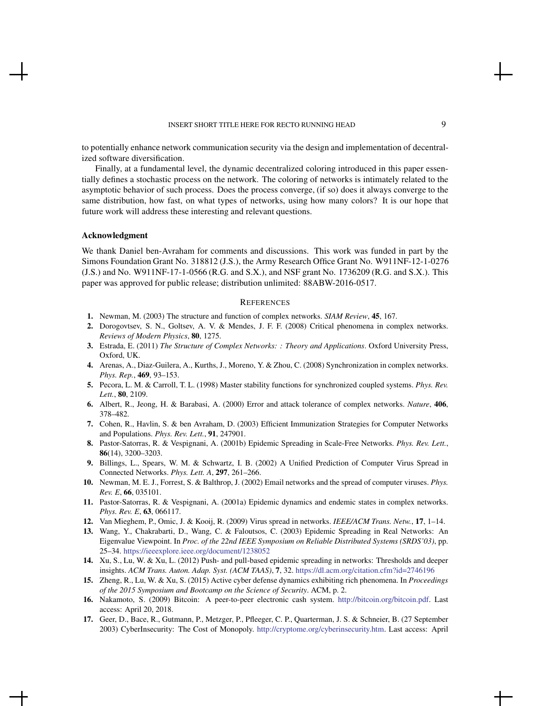to potentially enhance network communication security via the design and implementation of decentralized software diversification.

Finally, at a fundamental level, the dynamic decentralized coloring introduced in this paper essentially defines a stochastic process on the network. The coloring of networks is intimately related to the asymptotic behavior of such process. Does the process converge, (if so) does it always converge to the same distribution, how fast, on what types of networks, using how many colors? It is our hope that future work will address these interesting and relevant questions.

## Acknowledgment

We thank Daniel ben-Avraham for comments and discussions. This work was funded in part by the Simons Foundation Grant No. 318812 (J.S.), the Army Research Office Grant No. W911NF-12-1-0276 (J.S.) and No. W911NF-17-1-0566 (R.G. and S.X.), and NSF grant No. 1736209 (R.G. and S.X.). This paper was approved for public release; distribution unlimited: 88ABW-2016-0517.

#### **REFERENCES**

- <span id="page-8-0"></span>1. Newman, M. (2003) The structure and function of complex networks. *SIAM Review*, 45, 167.
- <span id="page-8-1"></span>2. Dorogovtsev, S. N., Goltsev, A. V. & Mendes, J. F. F. (2008) Critical phenomena in complex networks. *Reviews of Modern Physics*, 80, 1275.
- <span id="page-8-2"></span>3. Estrada, E. (2011) *The Structure of Complex Networks: : Theory and Applications*. Oxford University Press, Oxford, UK.
- <span id="page-8-3"></span>4. Arenas, A., Diaz-Guilera, A., Kurths, J., Moreno, Y. & Zhou, C. (2008) Synchronization in complex networks. *Phys. Rep.*, 469, 93–153.
- <span id="page-8-4"></span>5. Pecora, L. M. & Carroll, T. L. (1998) Master stability functions for synchronized coupled systems. *Phys. Rev. Lett.*, 80, 2109.
- <span id="page-8-5"></span>6. Albert, R., Jeong, H. & Barabasi, A. (2000) Error and attack tolerance of complex networks. *Nature*, 406, 378–482.
- <span id="page-8-6"></span>7. Cohen, R., Havlin, S. & ben Avraham, D. (2003) Efficient Immunization Strategies for Computer Networks and Populations. *Phys. Rev. Lett.*, 91, 247901.
- <span id="page-8-7"></span>8. Pastor-Satorras, R. & Vespignani, A. (2001b) Epidemic Spreading in Scale-Free Networks. *Phys. Rev. Lett.*, 86(14), 3200–3203.
- 9. Billings, L., Spears, W. M. & Schwartz, I. B. (2002) A Unified Prediction of Computer Virus Spread in Connected Networks. *Phys. Lett. A*, 297, 261–266.
- 10. Newman, M. E. J., Forrest, S. & Balthrop, J. (2002) Email networks and the spread of computer viruses. *Phys. Rev. E*, 66, 035101.
- 11. Pastor-Satorras, R. & Vespignani, A. (2001a) Epidemic dynamics and endemic states in complex networks. *Phys. Rev. E*, 63, 066117.
- 12. Van Mieghem, P., Omic, J. & Kooij, R. (2009) Virus spread in networks. *IEEE/ACM Trans. Netw.*, 17, 1–14.
- 13. Wang, Y., Chakrabarti, D., Wang, C. & Faloutsos, C. (2003) Epidemic Spreading in Real Networks: An Eigenvalue Viewpoint. In *Proc. of the 22nd IEEE Symposium on Reliable Distributed Systems (SRDS'03)*, pp. 25–34. <https://ieeexplore.ieee.org/document/1238052>
- 14. Xu, S., Lu, W. & Xu, L. (2012) Push- and pull-based epidemic spreading in networks: Thresholds and deeper insights. *ACM Trans. Auton. Adap. Syst. (ACM TAAS)*, 7, 32. [https://dl.acm.org/citation.cfm?id=2746196]( https://dl.acm.org/citation.cfm?id=2746196)
- <span id="page-8-8"></span>15. Zheng, R., Lu, W. & Xu, S. (2015) Active cyber defense dynamics exhibiting rich phenomena. In *Proceedings of the 2015 Symposium and Bootcamp on the Science of Security*. ACM, p. 2.
- <span id="page-8-9"></span>16. Nakamoto, S. (2009) Bitcoin: A peer-to-peer electronic cash system. [http://bitcoin.org/bitcoin.pdf.](http://bitcoin.org/bitcoin.pdf) Last access: April 20, 2018.
- <span id="page-8-10"></span>17. Geer, D., Bace, R., Gutmann, P., Metzger, P., Pfleeger, C. P., Quarterman, J. S. & Schneier, B. (27 September 2003) CyberInsecurity: The Cost of Monopoly. [http://cryptome.org/cyberinsecurity.htm.](http://cryptome.org/cyberinsecurity.htm) Last access: April